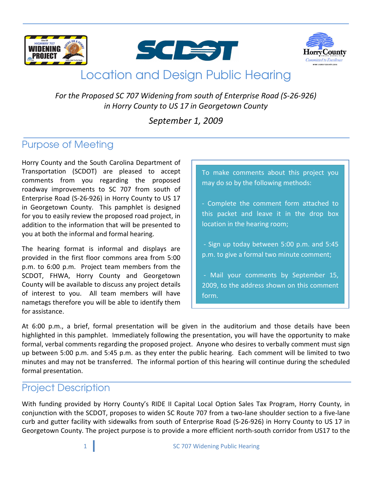





# **Location and Design Public Hearing**

For the Proposed SC 707 Widening from south of Enterprise Road (S-26-926) in Horry County to US 17 in Georgetown County

### September 1, 2009

## **Purpose of Meeting**

Horry County and the South Carolina Department of Transportation (SCDOT) are pleased to accept comments from you regarding the proposed roadway improvements to SC 707 from south of Enterprise Road (S-26-926) in Horry County to US 17 in Georgetown County. This pamphlet is designed for you to easily review the proposed road project, in addition to the information that will be presented to you at both the informal and formal hearing.

The hearing format is informal and displays are provided in the first floor commons area from 5:00 p.m. to 6:00 p.m. Project team members from the SCDOT, FHWA, Horry County and Georgetown County will be available to discuss any project details of interest to you. All team members will have nametags therefore you will be able to identify them for assistance.

To make comments about this project you may do so by the following methods:

- Complete the comment form attached to this packet and leave it in the drop box location in the hearing room;

- Sign up today between 5:00 p.m. and 5:45 p.m. to give a formal two minute comment;

- Mail your comments by September 15, 2009, to the address shown on this comment form.

At 6:00 p.m., a brief, formal presentation will be given in the auditorium and those details have been highlighted in this pamphlet. Immediately following the presentation, you will have the opportunity to make formal, verbal comments regarding the proposed project. Anyone who desires to verbally comment must sign up between 5:00 p.m. and 5:45 p.m. as they enter the public hearing. Each comment will be limited to two minutes and may not be transferred. The informal portion of this hearing will continue during the scheduled formal presentation.

### **Project Description**

With funding provided by Horry County's RIDE II Capital Local Option Sales Tax Program, Horry County, in conjunction with the SCDOT, proposes to widen SC Route 707 from a two-lane shoulder section to a five-lane curb and gutter facility with sidewalks from south of Enterprise Road (S-26-926) in Horry County to US 17 in Georgetown County. The project purpose is to provide a more efficient north-south corridor from US17 to the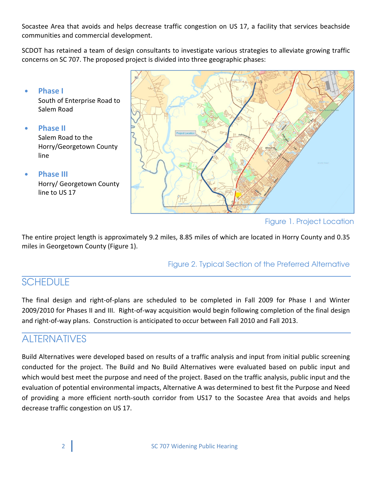Socastee Area that avoids and helps decrease traffic congestion on US 17, a facility that services beachside communities and commercial development.

SCDOT has retained a team of design consultants to investigate various strategies to alleviate growing traffic concerns on SC 707. The proposed project is divided into three geographic phases:



Figure 1. Project Location

The entire project length is approximately 9.2 miles, 8.85 miles of which are located in Horry County and 0.35 miles in Georgetown County (Figure 1).

Figure 2. Typical Section of the Preferred Alternative

# **SCHEDULE**

The final design and right-of-plans are scheduled to be completed in Fall 2009 for Phase I and Winter 2009/2010 for Phases II and III. Right-of-way acquisition would begin following completion of the final design and right-of-way plans. Construction is anticipated to occur between Fall 2010 and Fall 2013.

# **AI TERNATIVES**

Build Alternatives were developed based on results of a traffic analysis and input from initial public screening conducted for the project. The Build and No Build Alternatives were evaluated based on public input and which would best meet the purpose and need of the project. Based on the traffic analysis, public input and the evaluation of potential environmental impacts, Alternative A was determined to best fit the Purpose and Need of providing a more efficient north-south corridor from US17 to the Socastee Area that avoids and helps decrease traffic congestion on US 17.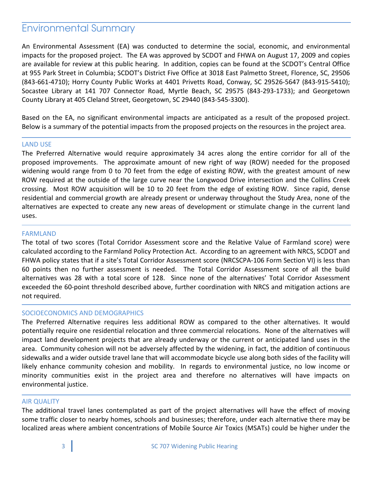### **Environmental Summary**

An Environmental Assessment (EA) was conducted to determine the social, economic, and environmental impacts for the proposed project. The EA was approved by SCDOT and FHWA on August 17, 2009 and copies are available for review at this public hearing. In addition, copies can be found at the SCDOT's Central Office at 955 Park Street in Columbia; SCDOT's District Five Office at 3018 East Palmetto Street, Florence, SC, 29506 (843-661-4710); Horry County Public Works at 4401 Privetts Road, Conway, SC 29526-5647 (843-915-5410); Socastee Library at 141 707 Connector Road, Myrtle Beach, SC 29575 (843-293-1733); and Georgetown County Library at 405 Cleland Street, Georgetown, SC 29440 (843-545-3300).

Based on the EA, no significant environmental impacts are anticipated as a result of the proposed project. Below is a summary of the potential impacts from the proposed projects on the resources in the project area.

#### **LAND USE**

The Preferred Alternative would require approximately 34 acres along the entire corridor for all of the proposed improvements. The approximate amount of new right of way (ROW) needed for the proposed widening would range from 0 to 70 feet from the edge of existing ROW, with the greatest amount of new ROW required at the outside of the large curve near the Longwood Drive intersection and the Collins Creek crossing. Most ROW acquisition will be 10 to 20 feet from the edge of existing ROW. Since rapid, dense residential and commercial growth are already present or underway throughout the Study Area, none of the alternatives are expected to create any new areas of development or stimulate change in the current land uses.

#### **FARMLAND**

The total of two scores (Total Corridor Assessment score and the Relative Value of Farmland score) were calculated according to the Farmland Policy Protection Act. According to an agreement with NRCS, SCDOT and FHWA policy states that if a site's Total Corridor Assessment score (NRCSCPA-106 Form Section VI) is less than 60 points then no further assessment is needed. The Total Corridor Assessment score of all the build alternatives was 28 with a total score of 128. Since none of the alternatives' Total Corridor Assessment exceeded the 60-point threshold described above, further coordination with NRCS and mitigation actions are not required.

#### SOCIOECONOMICS AND DEMOGRAPHICS

The Preferred Alternative requires less additional ROW as compared to the other alternatives. It would potentially require one residential relocation and three commercial relocations. None of the alternatives will impact land development projects that are already underway or the current or anticipated land uses in the area. Community cohesion will not be adversely affected by the widening, in fact, the addition of continuous sidewalks and a wider outside travel lane that will accommodate bicycle use along both sides of the facility will likely enhance community cohesion and mobility. In regards to environmental justice, no low income or minority communities exist in the project area and therefore no alternatives will have impacts on environmental justice.

#### **AIR QUALITY**

The additional travel lanes contemplated as part of the project alternatives will have the effect of moving some traffic closer to nearby homes, schools and businesses; therefore, under each alternative there may be localized areas where ambient concentrations of Mobile Source Air Toxics (MSATs) could be higher under the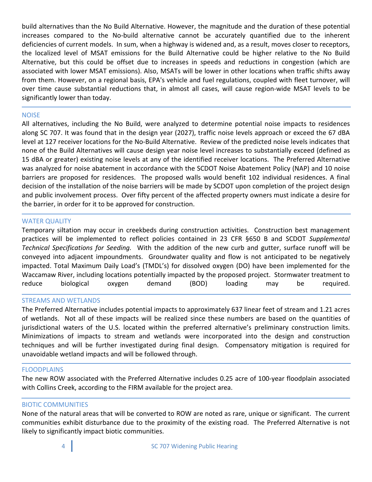build alternatives than the No Build Alternative. However, the magnitude and the duration of these potential increases compared to the No-build alternative cannot be accurately quantified due to the inherent deficiencies of current models. In sum, when a highway is widened and, as a result, moves closer to receptors, the localized level of MSAT emissions for the Build Alternative could be higher relative to the No Build Alternative, but this could be offset due to increases in speeds and reductions in congestion (which are associated with lower MSAT emissions). Also, MSATs will be lower in other locations when traffic shifts away from them. However, on a regional basis, EPA's vehicle and fuel regulations, coupled with fleet turnover, will over time cause substantial reductions that, in almost all cases, will cause region-wide MSAT levels to be significantly lower than today.

#### **NOISE**

All alternatives, including the No Build, were analyzed to determine potential noise impacts to residences along SC 707. It was found that in the design year (2027), traffic noise levels approach or exceed the 67 dBA level at 127 receiver locations for the No-Build Alternative. Review of the predicted noise levels indicates that none of the Build Alternatives will cause design year noise level increases to substantially exceed (defined as 15 dBA or greater) existing noise levels at any of the identified receiver locations. The Preferred Alternative was analyzed for noise abatement in accordance with the SCDOT Noise Abatement Policy (NAP) and 10 noise barriers are proposed for residences. The proposed walls would benefit 102 individual residences. A final decision of the installation of the noise barriers will be made by SCDOT upon completion of the project design and public involvement process. Over fifty percent of the affected property owners must indicate a desire for the barrier, in order for it to be approved for construction.

#### **WATER QUALITY**

Temporary siltation may occur in creekbeds during construction activities. Construction best management practices will be implemented to reflect policies contained in 23 CFR §650 B and SCDOT Supplemental Technical Specifications for Seeding. With the addition of the new curb and gutter, surface runoff will be conveyed into adjacent impoundments. Groundwater quality and flow is not anticipated to be negatively impacted. Total Maximum Daily Load's (TMDL's) for dissolved oxygen (DO) have been implemented for the Waccamaw River, including locations potentially impacted by the proposed project. Stormwater treatment to reduce biological demand (BOD) loading oxygen may be required.

#### **STREAMS AND WETLANDS**

The Preferred Alternative includes potential impacts to approximately 637 linear feet of stream and 1.21 acres of wetlands. Not all of these impacts will be realized since these numbers are based on the quantities of jurisdictional waters of the U.S. located within the preferred alternative's preliminary construction limits. Minimizations of impacts to stream and wetlands were incorporated into the design and construction techniques and will be further investigated during final design. Compensatory mitigation is required for unavoidable wetland impacts and will be followed through.

#### **FLOODPLAINS**

The new ROW associated with the Preferred Alternative includes 0.25 acre of 100-year floodplain associated with Collins Creek, according to the FIRM available for the project area.

#### **BIOTIC COMMUNITIES**

None of the natural areas that will be converted to ROW are noted as rare, unique or significant. The current communities exhibit disturbance due to the proximity of the existing road. The Preferred Alternative is not likely to significantly impact biotic communities.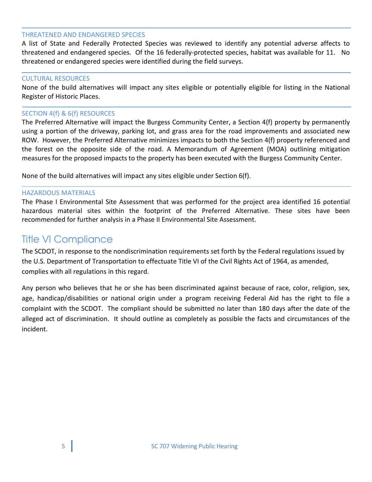#### **THREATENED AND ENDANGERED SPECIES**

A list of State and Federally Protected Species was reviewed to identify any potential adverse affects to threatened and endangered species. Of the 16 federally-protected species, habitat was available for 11. No threatened or endangered species were identified during the field surveys.

#### **CULTURAL RESOURCES**

None of the build alternatives will impact any sites eligible or potentially eligible for listing in the National Register of Historic Places.

#### SECTION 4(f) & 6(f) RESOURCES

The Preferred Alternative will impact the Burgess Community Center, a Section 4(f) property by permanently using a portion of the driveway, parking lot, and grass area for the road improvements and associated new ROW. However, the Preferred Alternative minimizes impacts to both the Section 4(f) property referenced and the forest on the opposite side of the road. A Memorandum of Agreement (MOA) outlining mitigation measures for the proposed impacts to the property has been executed with the Burgess Community Center.

None of the build alternatives will impact any sites eligible under Section 6(f).

#### **HAZARDOUS MATERIALS**

The Phase I Environmental Site Assessment that was performed for the project area identified 16 potential hazardous material sites within the footprint of the Preferred Alternative. These sites have been recommended for further analysis in a Phase II Environmental Site Assessment.

### **Title VI Compliance**

The SCDOT, in response to the nondiscrimination requirements set forth by the Federal regulations issued by the U.S. Department of Transportation to effectuate Title VI of the Civil Rights Act of 1964, as amended, complies with all regulations in this regard.

Any person who believes that he or she has been discriminated against because of race, color, religion, sex, age, handicap/disabilities or national origin under a program receiving Federal Aid has the right to file a complaint with the SCDOT. The compliant should be submitted no later than 180 days after the date of the alleged act of discrimination. It should outline as completely as possible the facts and circumstances of the incident.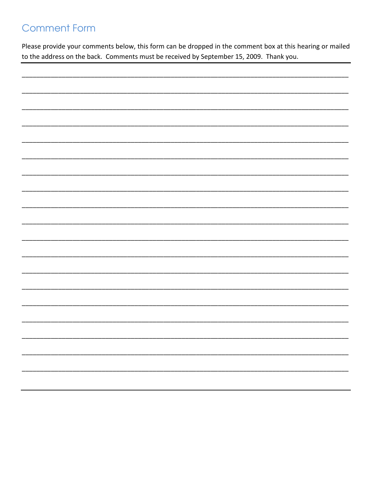# **Comment Form**

Please provide your comments below, this form can be dropped in the comment box at this hearing or mailed to the address on the back. Comments must be received by September 15, 2009. Thank you.